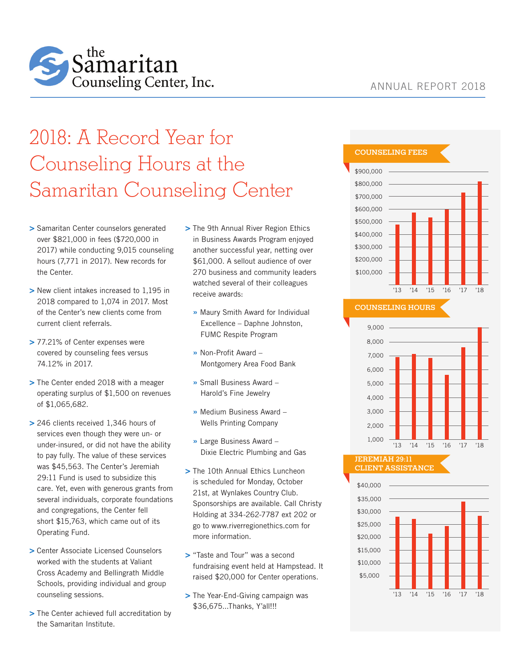

# 2018: A Record Year for Counseling Hours at the Samaritan Counseling Center

- **>** Samaritan Center counselors generated over \$821,000 in fees (\$720,000 in 2017) while conducting 9,015 counseling hours (7,771 in 2017). New records for the Center.
- **>** New client intakes increased to 1,195 in 2018 compared to 1,074 in 2017. Most of the Center's new clients come from current client referrals.
- **>** 77.21% of Center expenses were covered by counseling fees versus 74.12% in 2017.
- **>** The Center ended 2018 with a meager operating surplus of \$1,500 on revenues of \$1,065,682.
- **>** 246 clients received 1,346 hours of services even though they were un- or under-insured, or did not have the ability to pay fully. The value of these services was \$45,563. The Center's Jeremiah 29:11 Fund is used to subsidize this care. Yet, even with generous grants from several individuals, corporate foundations and congregations, the Center fell short \$15,763, which came out of its Operating Fund.
- **>** Center Associate Licensed Counselors worked with the students at Valiant Cross Academy and Bellingrath Middle Schools, providing individual and group counseling sessions.
- **>** The Center achieved full accreditation by the Samaritan Institute.
- **>** The 9th Annual River Region Ethics in Business Awards Program enjoyed another successful year, netting over \$61,000. A sellout audience of over 270 business and community leaders watched several of their colleagues receive awards:
	- **»** Maury Smith Award for Individual Excellence – Daphne Johnston, FUMC Respite Program
	- **»** Non-Profit Award Montgomery Area Food Bank
	- **»** Small Business Award Harold's Fine Jewelry
	- **»** Medium Business Award Wells Printing Company
	- **»** Large Business Award Dixie Electric Plumbing and Gas
- **>** The 10th Annual Ethics Luncheon is scheduled for Monday, October 21st, at Wynlakes Country Club. Sponsorships are available. Call Christy Holding at 334-262-7787 ext 202 or go to www.riverregionethics.com for more information.
- **>** "Taste and Tour" was a second fundraising event held at Hampstead. It raised \$20,000 for Center operations.
- **>** The Year-End-Giving campaign was \$36,675...Thanks, Y'all!!!

## COUNSELING FEES



# COUNSELING HOURS



#### JEREMIAH 29:11 CLIENT ASSISTANCE